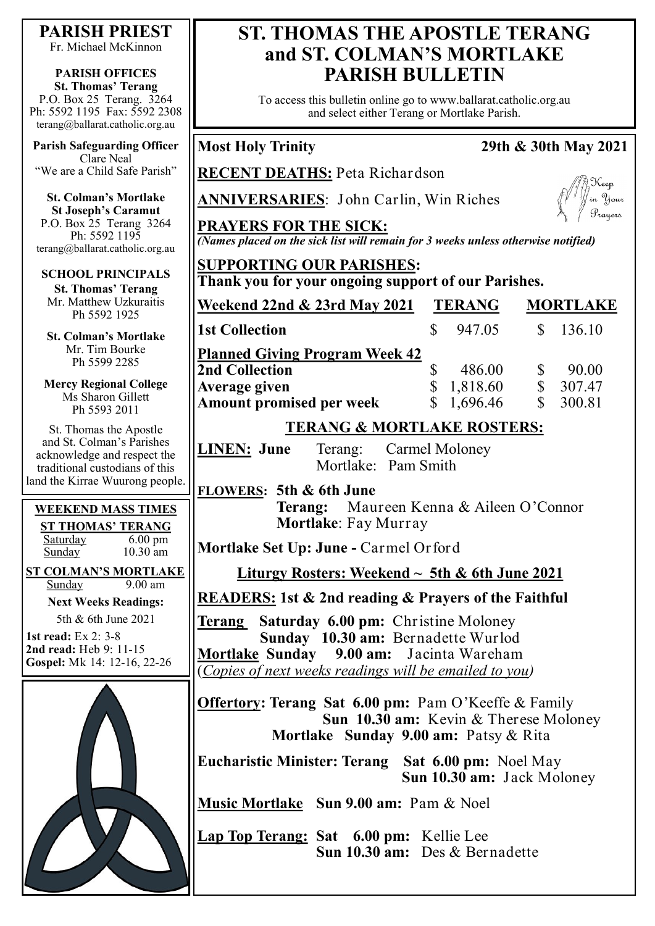**PARISH PRIEST**

Fr. Michael McKinnon

**PARISH OFFICES St. Thomas' Terang** P.O. Box 25 Terang. 3264 Ph: 5592 1195 Fax: 5592 2308 terang@ballarat.catholic.org.au

**Parish Safeguarding Officer** Clare Neal "We are a Child Safe Parish"

**St. Colman's Mortlake St Joseph's Caramut** P.O. Box 25 Terang 3264 Ph: 5592 1195 terang@ballarat.catholic.org.au

**SCHOOL PRINCIPALS**

**St. Thomas' Terang** Mr. Matthew Uzkuraitis Ph 5592 1925

**St. Colman's Mortlake** Mr. Tim Bourke Ph 5599 2285

**Mercy Regional College** Ms Sharon Gillett Ph 5593 2011

St. Thomas the Apostle and St. Colman's Parishes acknowledge and respect the traditional custodians of this land the Kirrae Wuurong people.

#### **WEEKEND MASS TIMES ST THOMAS' TERANG**

Saturday 6.00 pm Sunday 10.30 am

**ST COLMAN'S MORTLAKE**<br>Sunday 9.00 am Sunday **Next Weeks Readings:**

5th & 6th June 2021

**1st read:** Ex 2: 3-8 **2nd read:** Heb 9: 11-15 **Gospel:** Mk 14: 12-16, 22-26



## **ST. THOMAS THE APOSTLE TERANG and ST. COLMAN'S MORTLAKE PARISH BULLETIN**

To access this bulletin online go to www.ballarat.catholic.org.au and select either Terang or Mortlake Parish.

#### **Most Holy Trinity 29th & 30th May 2021**

**RECENT DEATHS:** Peta Richardson

**ANNIVERSARIES**: John Carlin, Win Riches



**PRAYERS FOR THE SICK:** *(Names placed on the sick list will remain for 3 weeks unless otherwise notified)*

#### **SUPPORTING OUR PARISHES: Thank you for your ongoing support of our Parishes.**

| Thank you for your ongoing support of our 1 amshes. |               |          |                 |        |
|-----------------------------------------------------|---------------|----------|-----------------|--------|
| Weekend 22nd & 23rd May 2021                        | <b>TERANG</b> |          | <b>MORTLAKE</b> |        |
| <b>1st Collection</b>                               |               | 947.05   | $\mathcal{S}$   | 136.10 |
| <b>Planned Giving Program Week 42</b>               |               |          |                 |        |
| <b>2nd Collection</b>                               |               | 486.00   |                 | 90.00  |
| <b>Average given</b>                                |               | 1,818.60 |                 | 307.47 |
| <b>Amount promised per week</b>                     |               | 1,696.46 |                 | 300.81 |

## **TERANG & MORTLAKE ROSTERS:**

**LINEN: June** Terang: Carmel Moloney Mortlake: Pam Smith

#### **FLOWERS: 5th & 6th June**

**Terang:** Maureen Kenna & Aileen O'Connor **Mortlake**: Fay Murray

**Mortlake Set Up: June -** Carmel Orford

**Liturgy Rosters: Weekend ~ 5th & 6th June 2021**

**READERS: 1st & 2nd reading & Prayers of the Faithful**

**Terang Saturday 6.00 pm:** Christine Moloney  **Sunday 10.30 am:** Bernadette Wurlod **Mortlake Sunday 9.00 am:** Jacinta Wareham (*Copies of next weeks readings will be emailed to you)*

**Offertory: Terang Sat 6.00 pm: Pam O'Keeffe & Family Sun 10.30 am:** Kevin & Therese Moloney  **Mortlake Sunday 9.00 am:** Patsy & Rita

**Eucharistic Minister: Terang Sat 6.00 pm:** Noel May  **Sun 10.30 am:** Jack Moloney

**Music Mortlake Sun 9.00 am:** Pam & Noel

**Lap Top Terang: Sat 6.00 pm:** Kellie Lee **Sun 10.30 am:** Des & Bernadette